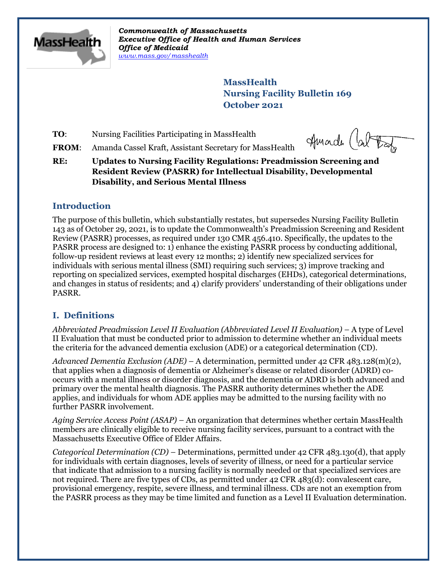

*Commonwealth of Massachusetts Executive Office of Health and Human Services Office of Medicaid [www.mass.gov/masshealth](http://www.mass.gov/masshealth)*

> **MassHealth Nursing Facility Bulletin 169 October 2021**

**TO:** Nursing Facilities Participating in MassHealth

Amarde (abo

FROM: Amanda Cassel Kraft, Assistant Secretary for MassHealth

**RE: Updates to Nursing Facility Regulations: Preadmission Screening and Resident Review (PASRR) for Intellectual Disability, Developmental Disability, and Serious Mental Illness**

### **Introduction**

The purpose of this bulletin, which substantially restates, but supersedes Nursing Facility Bulletin 143 as of October 29, 2021, is to update the Commonwealth's Preadmission Screening and Resident Review (PASRR) processes, as required under 130 CMR 456.410. Specifically, the updates to the PASRR process are designed to: 1) enhance the existing PASRR process by conducting additional, follow-up resident reviews at least every 12 months; 2) identify new specialized services for individuals with serious mental illness (SMI) requiring such services; 3) improve tracking and reporting on specialized services, exempted hospital discharges (EHDs), categorical determinations, and changes in status of residents; and 4) clarify providers' understanding of their obligations under PASRR.

## **I. Definitions**

*Abbreviated Preadmission Level II Evaluation (Abbreviated Level II Evaluation) –* A type of Level II Evaluation that must be conducted prior to admission to determine whether an individual meets the criteria for the advanced dementia exclusion (ADE) or a categorical determination (CD).

*Advanced Dementia Exclusion (ADE) –* A determination, permitted under 42 CFR 483.128(m)(2), that applies when a diagnosis of dementia or Alzheimer's disease or related disorder (ADRD) cooccurs with a mental illness or disorder diagnosis, and the dementia or ADRD is both advanced and primary over the mental health diagnosis. The PASRR authority determines whether the ADE applies, and individuals for whom ADE applies may be admitted to the nursing facility with no further PASRR involvement.

*Aging Service Access Point (ASAP) –* An organization that determines whether certain MassHealth members are clinically eligible to receive nursing facility services, pursuant to a contract with the Massachusetts Executive Office of Elder Affairs.

*Categorical Determination (CD) –* Determinations, permitted under 42 CFR 483.130(d), that apply for individuals with certain diagnoses, levels of severity of illness, or need for a particular service that indicate that admission to a nursing facility is normally needed or that specialized services are not required. There are five types of CDs, as permitted under 42 CFR 483(d): convalescent care, provisional emergency, respite, severe illness, and terminal illness. CDs are not an exemption from the PASRR process as they may be time limited and function as a Level II Evaluation determination.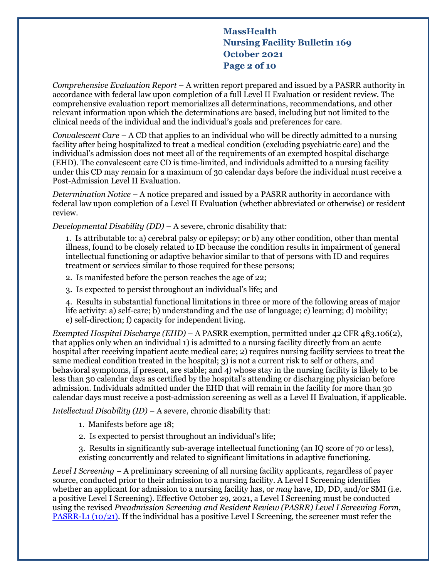# **MassHealth Nursing Facility Bulletin 169 October 2021 Page 2 of 10**

*Comprehensive Evaluation Report* – A written report prepared and issued by a PASRR authority in accordance with federal law upon completion of a full Level II Evaluation or resident review. The comprehensive evaluation report memorializes all determinations, recommendations, and other relevant information upon which the determinations are based, including but not limited to the clinical needs of the individual and the individual's goals and preferences for care.

*Convalescent Care* – A CD that applies to an individual who will be directly admitted to a nursing facility after being hospitalized to treat a medical condition (excluding psychiatric care) and the individual's admission does not meet all of the requirements of an exempted hospital discharge (EHD). The convalescent care CD is time-limited, and individuals admitted to a nursing facility under this CD may remain for a maximum of 30 calendar days before the individual must receive a Post-Admission Level II Evaluation.

*Determination Notice –* A notice prepared and issued by a PASRR authority in accordance with federal law upon completion of a Level II Evaluation (whether abbreviated or otherwise) or resident review.

*Developmental Disability (DD)* – A severe, chronic disability that:

1. Is attributable to: a) cerebral palsy or epilepsy; or b) any other condition, other than mental illness, found to be closely related to ID because the condition results in impairment of general intellectual functioning or adaptive behavior similar to that of persons with ID and requires treatment or services similar to those required for these persons;

2. Is manifested before the person reaches the age of 22;

3. Is expected to persist throughout an individual's life; and

4. Results in substantial functional limitations in three or more of the following areas of major life activity: a) self-care; b) understanding and the use of language; c) learning; d) mobility; e) self-direction; f) capacity for independent living.

*Exempted Hospital Discharge (EHD)* – A PASRR exemption, permitted under 42 CFR 483.106(2), that applies only when an individual 1) is admitted to a nursing facility directly from an acute hospital after receiving inpatient acute medical care; 2) requires nursing facility services to treat the same medical condition treated in the hospital; 3) is not a current risk to self or others, and behavioral symptoms, if present, are stable; and 4) whose stay in the nursing facility is likely to be less than 30 calendar days as certified by the hospital's attending or discharging physician before admission. Individuals admitted under the EHD that will remain in the facility for more than 30 calendar days must receive a post-admission screening as well as a Level II Evaluation, if applicable.

*Intellectual Disability (ID)* – A severe, chronic disability that:

- 1. Manifests before age 18;
- 2. Is expected to persist throughout an individual's life;

3. Results in significantly sub-average intellectual functioning (an IQ score of 70 or less), existing concurrently and related to significant limitations in adaptive functioning.

*Level I Screening* – A preliminary screening of all nursing facility applicants, regardless of payer source, conducted prior to their admission to a nursing facility. A Level I Screening identifies whether an applicant for admission to a nursing facility has, or *may* have, ID, DD, and/or SMI (i.e. a positive Level I Screening). Effective October 29, 2021, a Level I Screening must be conducted using the revised *Preadmission Screening and Resident Review (PASRR) Level I Screening Form*, [PASRR-L1 \(10/21\).](https://www.mass.gov/lists/pasrr-materials-for-providers) If the individual has a positive Level I Screening, the screener must refer the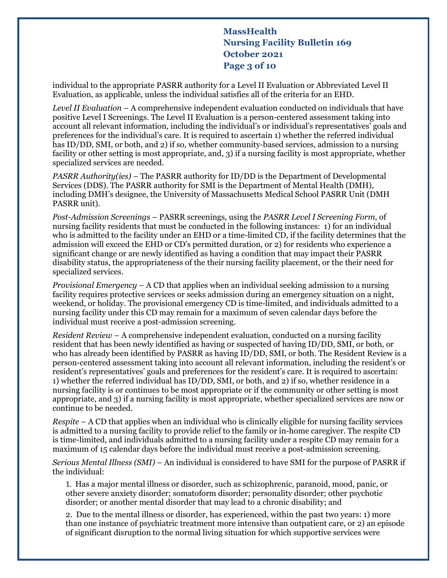# **MassHealth Nursing Facility Bulletin 169 October 2021 Page 3 of 10**

individual to the appropriate PASRR authority for a Level II Evaluation or Abbreviated Level II Evaluation, as applicable, unless the individual satisfies all of the criteria for an EHD.

*Level II Evaluation* – A comprehensive independent evaluation conducted on individuals that have positive Level I Screenings. The Level II Evaluation is a person-centered assessment taking into account all relevant information, including the individual's or individual's representatives' goals and preferences for the individual's care. It is required to ascertain 1) whether the referred individual has ID/DD, SMI, or both, and 2) if so, whether community-based services, admission to a nursing facility or other setting is most appropriate, and, 3) if a nursing facility is most appropriate, whether specialized services are needed.

*PASRR Authority(ies)* – The PASRR authority for ID/DD is the Department of Developmental Services (DDS). The PASRR authority for SMI is the Department of Mental Health (DMH), including DMH's designee, the University of Massachusetts Medical School PASRR Unit (DMH PASRR unit).

*Post-Admission Screenings* – PASRR screenings, using the *PASRR Level I Screening Form*, of nursing facility residents that must be conducted in the following instances: 1) for an individual who is admitted to the facility under an EHD or a time-limited CD, if the facility determines that the admission will exceed the EHD or CD's permitted duration, or 2) for residents who experience a significant change or are newly identified as having a condition that may impact their PASRR disability status, the appropriateness of the their nursing facility placement, or the their need for specialized services.

*Provisional Emergency* – A CD that applies when an individual seeking admission to a nursing facility requires protective services or seeks admission during an emergency situation on a night, weekend, or holiday. The provisional emergency CD is time-limited, and individuals admitted to a nursing facility under this CD may remain for a maximum of seven calendar days before the individual must receive a post-admission screening.

*Resident Review* – A comprehensive independent evaluation, conducted on a nursing facility resident that has been newly identified as having or suspected of having ID/DD, SMI, or both, or who has already been identified by PASRR as having ID/DD, SMI, or both. The Resident Review is a person-centered assessment taking into account all relevant information, including the resident's or resident's representatives' goals and preferences for the resident's care. It is required to ascertain: 1) whether the referred individual has ID/DD, SMI, or both, and 2) if so, whether residence in a nursing facility is or continues to be most appropriate or if the community or other setting is most appropriate, and 3) if a nursing facility is most appropriate, whether specialized services are now or continue to be needed.

*Respite* – A CD that applies when an individual who is clinically eligible for nursing facility services is admitted to a nursing facility to provide relief to the family or in-home caregiver. The respite CD is time-limited, and individuals admitted to a nursing facility under a respite CD may remain for a maximum of 15 calendar days before the individual must receive a post-admission screening.

*Serious Mental Illness (SMI)* – An individual is considered to have SMI for the purpose of PASRR if the individual:

1. Has a major mental illness or disorder, such as schizophrenic, paranoid, mood, panic, or other severe anxiety disorder; somatoform disorder; personality disorder; other psychotic disorder; or another mental disorder that may lead to a chronic disability; and

2. Due to the mental illness or disorder, has experienced, within the past two years: 1) more than one instance of psychiatric treatment more intensive than outpatient care, or 2) an episode of significant disruption to the normal living situation for which supportive services were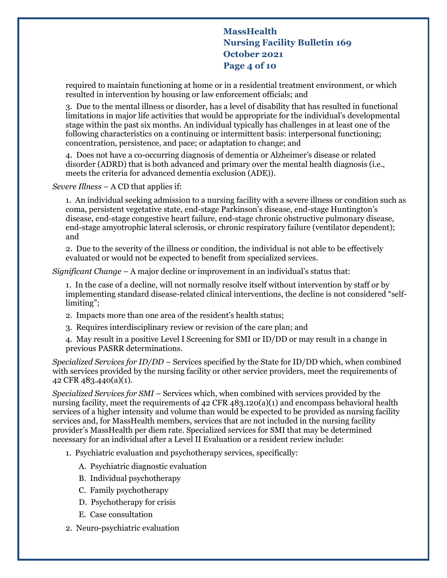# **MassHealth Nursing Facility Bulletin 169 October 2021 Page 4 of 10**

required to maintain functioning at home or in a residential treatment environment, or which resulted in intervention by housing or law enforcement officials; and

3. Due to the mental illness or disorder, has a level of disability that has resulted in functional limitations in major life activities that would be appropriate for the individual's developmental stage within the past six months. An individual typically has challenges in at least one of the following characteristics on a continuing or intermittent basis: interpersonal functioning; concentration, persistence, and pace; or adaptation to change; and

4. Does not have a co-occurring diagnosis of dementia or Alzheimer's disease or related disorder (ADRD) that is both advanced and primary over the mental health diagnosis (i.e., meets the criteria for advanced dementia exclusion (ADE)).

*Severe Illness* – A CD that applies if:

1. An individual seeking admission to a nursing facility with a severe illness or condition such as coma, persistent vegetative state, end-stage Parkinson's disease, end-stage Huntington's disease, end-stage congestive heart failure, end-stage chronic obstructive pulmonary disease, end-stage amyotrophic lateral sclerosis, or chronic respiratory failure (ventilator dependent); and

2. Due to the severity of the illness or condition, the individual is not able to be effectively evaluated or would not be expected to benefit from specialized services.

*Significant Change* – A major decline or improvement in an individual's status that:

1. In the case of a decline, will not normally resolve itself without intervention by staff or by implementing standard disease-related clinical interventions, the decline is not considered "selflimiting";

2. Impacts more than one area of the resident's health status;

3. Requires interdisciplinary review or revision of the care plan; and

4. May result in a positive Level I Screening for SMI or ID/DD or may result in a change in previous PASRR determinations.

*Specialized Services for ID/DD* – Services specified by the State for ID/DD which, when combined with services provided by the nursing facility or other service providers, meet the requirements of 42 CFR 483.440(a)(1).

*Specialized Services for SMI* – Services which, when combined with services provided by the nursing facility, meet the requirements of 42 CFR 483.120(a)(1) and encompass behavioral health services of a higher intensity and volume than would be expected to be provided as nursing facility services and, for MassHealth members, services that are not included in the nursing facility provider's MassHealth per diem rate. Specialized services for SMI that may be determined necessary for an individual after a Level II Evaluation or a resident review include:

- 1. Psychiatric evaluation and psychotherapy services, specifically:
	- A. Psychiatric diagnostic evaluation
	- B. Individual psychotherapy
	- C. Family psychotherapy
	- D. Psychotherapy for crisis
	- E. Case consultation
- 2. Neuro-psychiatric evaluation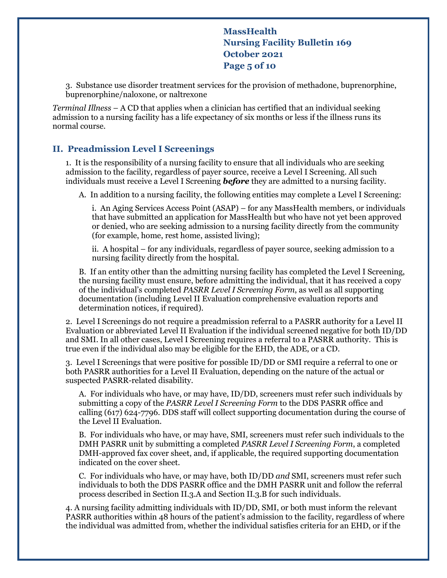**MassHealth Nursing Facility Bulletin 169 October 2021 Page 5 of 10**

3. Substance use disorder treatment services for the provision of methadone, buprenorphine, buprenorphine/naloxone, or naltrexone

*Terminal Illness* – A CD that applies when a clinician has certified that an individual seeking admission to a nursing facility has a life expectancy of six months or less if the illness runs its normal course.

### **II. Preadmission Level I Screenings**

1. It is the responsibility of a nursing facility to ensure that all individuals who are seeking admission to the facility, regardless of payer source, receive a Level I Screening. All such individuals must receive a Level I Screening *before* they are admitted to a nursing facility.

A. In addition to a nursing facility, the following entities may complete a Level I Screening:

i. An Aging Services Access Point (ASAP) – for any MassHealth members, or individuals that have submitted an application for MassHealth but who have not yet been approved or denied, who are seeking admission to a nursing facility directly from the community (for example, home, rest home, assisted living);

ii. A hospital – for any individuals, regardless of payer source, seeking admission to a nursing facility directly from the hospital.

B. If an entity other than the admitting nursing facility has completed the Level I Screening, the nursing facility must ensure, before admitting the individual, that it has received a copy of the individual's completed *PASRR Level I Screening Form*, as well as all supporting documentation (including Level II Evaluation comprehensive evaluation reports and determination notices, if required).

2. Level I Screenings do not require a preadmission referral to a PASRR authority for a Level II Evaluation or abbreviated Level II Evaluation if the individual screened negative for both ID/DD and SMI. In all other cases, Level I Screening requires a referral to a PASRR authority. This is true even if the individual also may be eligible for the EHD, the ADE, or a CD.

3. Level I Screenings that were positive for possible ID/DD or SMI require a referral to one or both PASRR authorities for a Level II Evaluation, depending on the nature of the actual or suspected PASRR-related disability.

A. For individuals who have, or may have, ID/DD, screeners must refer such individuals by submitting a copy of the *PASRR Level I Screening Form* to the DDS PASRR office and calling (617) 624-7796. DDS staff will collect supporting documentation during the course of the Level II Evaluation.

B. For individuals who have, or may have, SMI, screeners must refer such individuals to the DMH PASRR unit by submitting a completed *PASRR Level I Screening Form*, a completed DMH-approved fax cover sheet, and, if applicable, the required supporting documentation indicated on the cover sheet.

C. For individuals who have, or may have, both ID/DD *and* SMI, screeners must refer such individuals to both the DDS PASRR office and the DMH PASRR unit and follow the referral process described in Section II.3.A and Section II.3.B for such individuals.

4. A nursing facility admitting individuals with ID/DD, SMI, or both must inform the relevant PASRR authorities within 48 hours of the patient's admission to the facility, regardless of where the individual was admitted from, whether the individual satisfies criteria for an EHD, or if the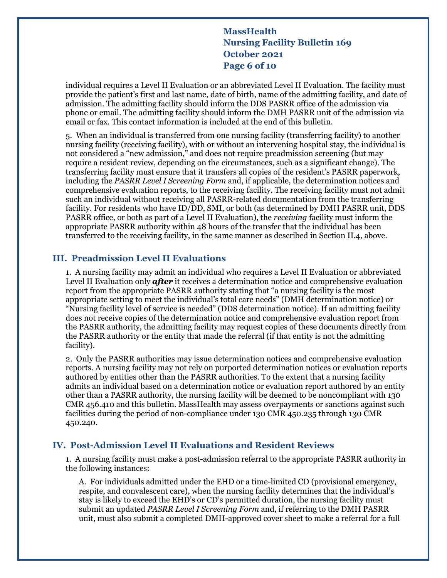# **MassHealth Nursing Facility Bulletin 169 October 2021 Page 6 of 10**

individual requires a Level II Evaluation or an abbreviated Level II Evaluation. The facility must provide the patient's first and last name, date of birth, name of the admitting facility, and date of admission. The admitting facility should inform the DDS PASRR office of the admission via phone or email. The admitting facility should inform the DMH PASRR unit of the admission via email or fax. This contact information is included at the end of this bulletin.

5. When an individual is transferred from one nursing facility (transferring facility) to another nursing facility (receiving facility), with or without an intervening hospital stay, the individual is not considered a "new admission," and does not require preadmission screening (but may require a resident review, depending on the circumstances, such as a significant change). The transferring facility must ensure that it transfers all copies of the resident's PASRR paperwork, including the *PASRR Level I Screening Form* and, if applicable, the determination notices and comprehensive evaluation reports, to the receiving facility. The receiving facility must not admit such an individual without receiving all PASRR-related documentation from the transferring facility. For residents who have ID/DD, SMI, or both (as determined by DMH PASRR unit, DDS PASRR office, or both as part of a Level II Evaluation), the *receiving* facility must inform the appropriate PASRR authority within 48 hours of the transfer that the individual has been transferred to the receiving facility, in the same manner as described in Section II.4, above.

### **III. Preadmission Level II Evaluations**

1. A nursing facility may admit an individual who requires a Level II Evaluation or abbreviated Level II Evaluation only *after* it receives a determination notice and comprehensive evaluation report from the appropriate PASRR authority stating that "a nursing facility is the most appropriate setting to meet the individual's total care needs" (DMH determination notice) or "Nursing facility level of service is needed" (DDS determination notice). If an admitting facility does not receive copies of the determination notice and comprehensive evaluation report from the PASRR authority, the admitting facility may request copies of these documents directly from the PASRR authority or the entity that made the referral (if that entity is not the admitting facility).

2. Only the PASRR authorities may issue determination notices and comprehensive evaluation reports. A nursing facility may not rely on purported determination notices or evaluation reports authored by entities other than the PASRR authorities. To the extent that a nursing facility admits an individual based on a determination notice or evaluation report authored by an entity other than a PASRR authority, the nursing facility will be deemed to be noncompliant with 130 CMR 456.410 and this bulletin. MassHealth may assess overpayments or sanctions against such facilities during the period of non-compliance under 130 CMR 450.235 through 130 CMR 450.240.

### **IV. Post-Admission Level II Evaluations and Resident Reviews**

1. A nursing facility must make a post-admission referral to the appropriate PASRR authority in the following instances:

A. For individuals admitted under the EHD or a time-limited CD (provisional emergency, respite, and convalescent care), when the nursing facility determines that the individual's stay is likely to exceed the EHD's or CD's permitted duration, the nursing facility must submit an updated *PASRR Level I Screening Form* and, if referring to the DMH PASRR unit, must also submit a completed DMH-approved cover sheet to make a referral for a full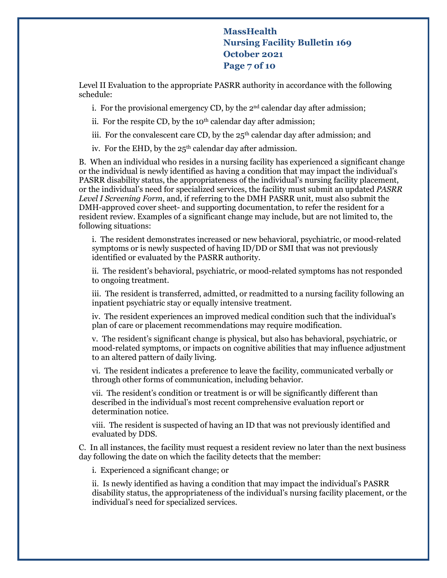## **MassHealth Nursing Facility Bulletin 169 October 2021 Page 7 of 10**

Level II Evaluation to the appropriate PASRR authority in accordance with the following schedule:

i. For the provisional emergency CD, by the  $2<sup>nd</sup>$  calendar day after admission;

ii. For the respite CD, by the 10<sup>th</sup> calendar day after admission;

iii. For the convalescent care CD, by the  $25<sup>th</sup>$  calendar day after admission; and

iv. For the EHD, by the 25<sup>th</sup> calendar day after admission.

B. When an individual who resides in a nursing facility has experienced a significant change or the individual is newly identified as having a condition that may impact the individual's PASRR disability status, the appropriateness of the individual's nursing facility placement, or the individual's need for specialized services, the facility must submit an updated *PASRR Level I Screening Form*, and, if referring to the DMH PASRR unit, must also submit the DMH-approved cover sheet- and supporting documentation, to refer the resident for a resident review. Examples of a significant change may include, but are not limited to, the following situations:

i. The resident demonstrates increased or new behavioral, psychiatric, or mood-related symptoms or is newly suspected of having ID/DD or SMI that was not previously identified or evaluated by the PASRR authority.

ii. The resident's behavioral, psychiatric, or mood-related symptoms has not responded to ongoing treatment.

iii. The resident is transferred, admitted, or readmitted to a nursing facility following an inpatient psychiatric stay or equally intensive treatment.

iv. The resident experiences an improved medical condition such that the individual's plan of care or placement recommendations may require modification.

v. The resident's significant change is physical, but also has behavioral, psychiatric, or mood-related symptoms, or impacts on cognitive abilities that may influence adjustment to an altered pattern of daily living.

vi. The resident indicates a preference to leave the facility, communicated verbally or through other forms of communication, including behavior.

vii. The resident's condition or treatment is or will be significantly different than described in the individual's most recent comprehensive evaluation report or determination notice.

viii. The resident is suspected of having an ID that was not previously identified and evaluated by DDS.

C. In all instances, the facility must request a resident review no later than the next business day following the date on which the facility detects that the member:

i. Experienced a significant change; or

ii. Is newly identified as having a condition that may impact the individual's PASRR disability status, the appropriateness of the individual's nursing facility placement, or the individual's need for specialized services.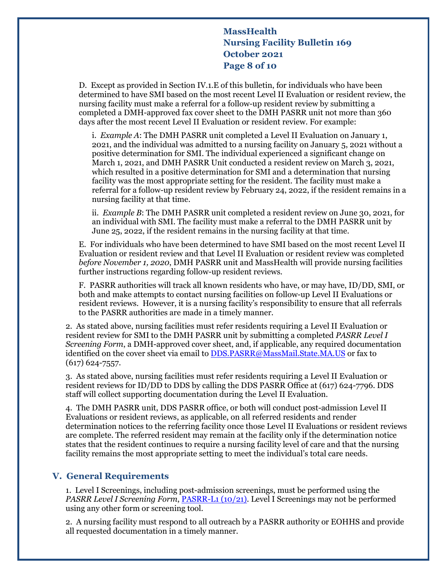**MassHealth Nursing Facility Bulletin 169 October 2021 Page 8 of 10**

D. Except as provided in Section IV.1.E of this bulletin, for individuals who have been determined to have SMI based on the most recent Level II Evaluation or resident review, the nursing facility must make a referral for a follow-up resident review by submitting a completed a DMH-approved fax cover sheet to the DMH PASRR unit not more than 360 days after the most recent Level II Evaluation or resident review. For example:

i. *Example A*: The DMH PASRR unit completed a Level II Evaluation on January 1, 2021, and the individual was admitted to a nursing facility on January 5, 2021 without a positive determination for SMI. The individual experienced a significant change on March 1, 2021, and DMH PASRR Unit conducted a resident review on March 3, 2021, which resulted in a positive determination for SMI and a determination that nursing facility was the most appropriate setting for the resident. The facility must make a referral for a follow-up resident review by February 24, 2022, if the resident remains in a nursing facility at that time.

ii. *Example B*: The DMH PASRR unit completed a resident review on June 30, 2021, for an individual with SMI. The facility must make a referral to the DMH PASRR unit by June 25, 2022, if the resident remains in the nursing facility at that time.

E. For individuals who have been determined to have SMI based on the most recent Level II Evaluation or resident review and that Level II Evaluation or resident review was completed *before November 1, 2020*, DMH PASRR unit and MassHealth will provide nursing facilities further instructions regarding follow-up resident reviews.

F. PASRR authorities will track all known residents who have, or may have, ID/DD, SMI, or both and make attempts to contact nursing facilities on follow-up Level II Evaluations or resident reviews. However, it is a nursing facility's responsibility to ensure that all referrals to the PASRR authorities are made in a timely manner.

2. As stated above, nursing facilities must refer residents requiring a Level II Evaluation or resident review for SMI to the DMH PASRR unit by submitting a completed *PASRR Level I Screening Form*, a DMH-approved cover sheet, and, if applicable, any required documentation identified on the cover sheet via email to [DDS.PASRR@MassMail.State.MA.US](mailto:DDS.PASRR@MassMail.State.MA.US) or fax to (617) 624-7557.

3. As stated above, nursing facilities must refer residents requiring a Level II Evaluation or resident reviews for ID/DD to DDS by calling the DDS PASRR Office at (617) 624-7796. DDS staff will collect supporting documentation during the Level II Evaluation.

4. The DMH PASRR unit, DDS PASRR office, or both will conduct post-admission Level II Evaluations or resident reviews, as applicable, on all referred residents and render determination notices to the referring facility once those Level II Evaluations or resident reviews are complete. The referred resident may remain at the facility only if the determination notice states that the resident continues to require a nursing facility level of care and that the nursing facility remains the most appropriate setting to meet the individual's total care needs.

### **V. General Requirements**

1. Level I Screenings, including post-admission screenings, must be performed using the *PASRR Level I Screening Form*[, PASRR-L1 \(10/21\).](https://www.mass.gov/lists/pasrr-materials-for-providers) Level I Screenings may not be performed using any other form or screening tool.

2. A nursing facility must respond to all outreach by a PASRR authority or EOHHS and provide all requested documentation in a timely manner.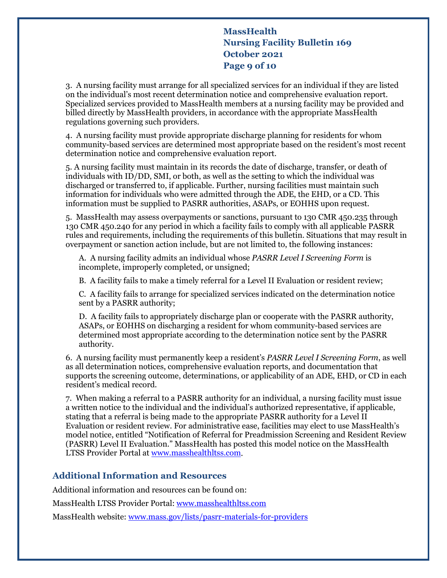# **MassHealth Nursing Facility Bulletin 169 October 2021 Page 9 of 10**

3. A nursing facility must arrange for all specialized services for an individual if they are listed on the individual's most recent determination notice and comprehensive evaluation report. Specialized services provided to MassHealth members at a nursing facility may be provided and billed directly by MassHealth providers, in accordance with the appropriate MassHealth regulations governing such providers.

4. A nursing facility must provide appropriate discharge planning for residents for whom community-based services are determined most appropriate based on the resident's most recent determination notice and comprehensive evaluation report.

5. A nursing facility must maintain in its records the date of discharge, transfer, or death of individuals with ID/DD, SMI, or both, as well as the setting to which the individual was discharged or transferred to, if applicable. Further, nursing facilities must maintain such information for individuals who were admitted through the ADE, the EHD, or a CD. This information must be supplied to PASRR authorities, ASAPs, or EOHHS upon request.

5. MassHealth may assess overpayments or sanctions, pursuant to 130 CMR 450.235 through 130 CMR 450.240 for any period in which a facility fails to comply with all applicable PASRR rules and requirements, including the requirements of this bulletin. Situations that may result in overpayment or sanction action include, but are not limited to, the following instances:

A. A nursing facility admits an individual whose *PASRR Level I Screening Form* is incomplete, improperly completed, or unsigned;

B. A facility fails to make a timely referral for a Level II Evaluation or resident review;

C. A facility fails to arrange for specialized services indicated on the determination notice sent by a PASRR authority;

D. A facility fails to appropriately discharge plan or cooperate with the PASRR authority, ASAPs, or EOHHS on discharging a resident for whom community-based services are determined most appropriate according to the determination notice sent by the PASRR authority.

6. A nursing facility must permanently keep a resident's *PASRR Level I Screening Form*, as well as all determination notices, comprehensive evaluation reports, and documentation that supports the screening outcome, determinations, or applicability of an ADE, EHD, or CD in each resident's medical record.

7. When making a referral to a PASRR authority for an individual, a nursing facility must issue a written notice to the individual and the individual's authorized representative, if applicable, stating that a referral is being made to the appropriate PASRR authority for a Level II Evaluation or resident review. For administrative ease, facilities may elect to use MassHealth's model notice, entitled "Notification of Referral for Preadmission Screening and Resident Review (PASRR) Level II Evaluation." MassHealth has posted this model notice on the MassHealth LTSS Provider Portal at [www.masshealthltss.com.](http://www.masshealthltss.com/)

### **Additional Information and Resources**

Additional information and resources can be found on:

MassHealth LTSS Provider Portal: [www.masshealthltss.com](http://www.masshealthltss.com/)

MassHealth website: [www.mass.gov/lists/pasrr-materials-for-providers](http://www.mass.gov/lists/pasrr-materials-for-providers)